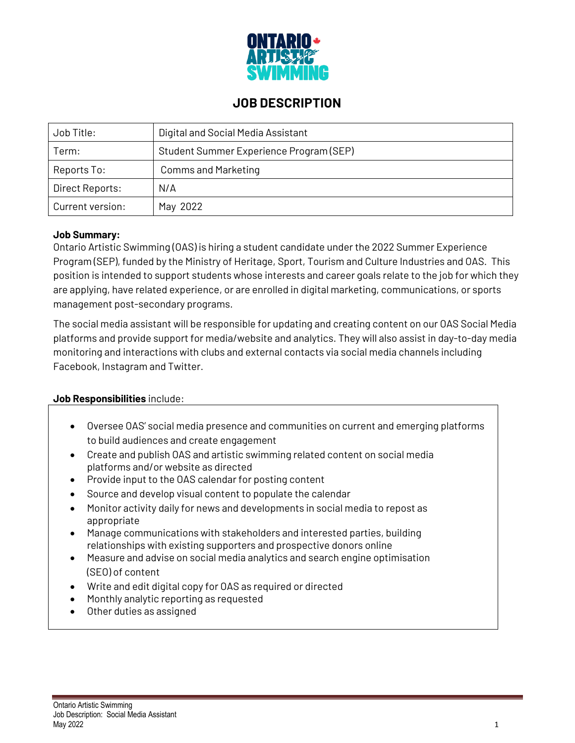

## **JOB DESCRIPTION**

| Job Title:       | Digital and Social Media Assistant      |
|------------------|-----------------------------------------|
| Term:            | Student Summer Experience Program (SEP) |
| Reports To:      | <b>Comms and Marketing</b>              |
| Direct Reports:  | N/A                                     |
| Current version: | May 2022                                |

#### **Job Summary:**

Ontario Artistic Swimming (OAS) is hiring a student candidate under the 2022 Summer Experience Program (SEP), funded by the Ministry of Heritage, Sport, Tourism and Culture Industries and OAS. This position is intended to support students whose interests and career goals relate to the job for which they are applying, have related experience, or are enrolled in digital marketing, communications, or sports management post-secondary programs.

The social media assistant will be responsible for updating and creating content on our OAS Social Media platforms and provide support for media/website and analytics. They will also assist in day-to-day media monitoring and interactions with clubs and external contacts via social media channels including Facebook, Instagram and Twitter.

### **Job Responsibilities** include:

- Oversee OAS' social media presence and communities on current and emerging platforms to build audiences and create engagement
- Create and publish OAS and artistic swimming related content on social media platforms and/or website as directed
- Provide input to the OAS calendar for posting content
- Source and develop visual content to populate the calendar
- Monitor activity daily for news and developments in social media to repost as appropriate
- Manage communications with stakeholders and interested parties, building relationships with existing supporters and prospective donors online
- Measure and advise on social media analytics and search engine optimisation (SEO) of content
- Write and edit digital copy for OAS as required or directed
- Monthly analytic reporting as requested
- Other duties as assigned